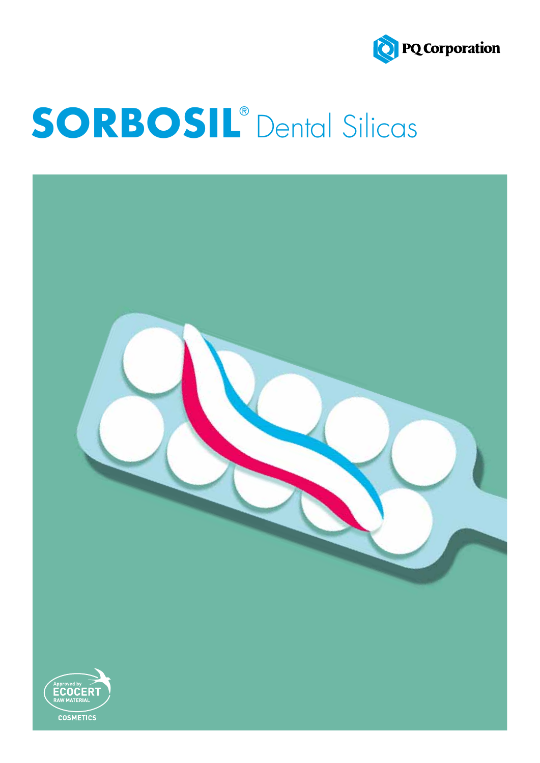

# **SORBOSIL**® Dental Silicas

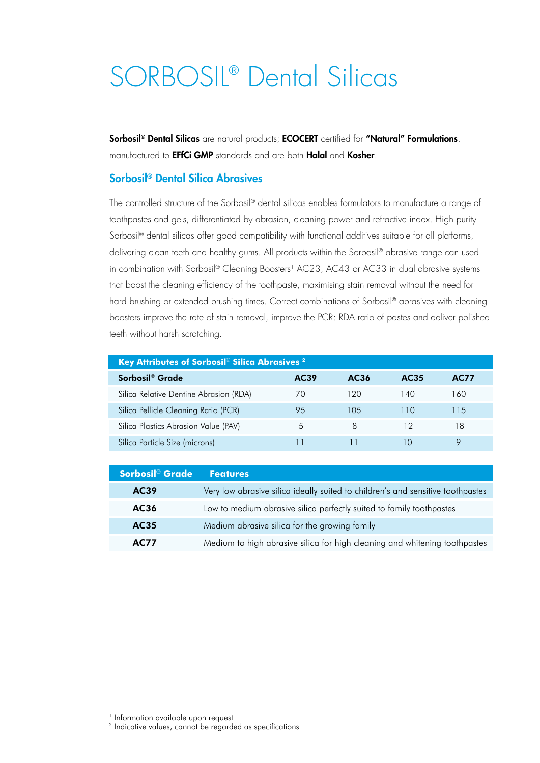# SORBOSIL® Dental Silicas

Sorbosil<sup>®</sup> Dental Silicas are natural products; ECOCERT certified for "Natural" Formulations, manufactured to **EFfCi GMP** standards and are both **Halal** and **Kosher**.

#### Sorbosil® Dental Silica Abrasives

The controlled structure of the Sorbosil® dental silicas enables formulators to manufacture a range of toothpastes and gels, differentiated by abrasion, cleaning power and refractive index. High purity Sorbosil<sup>®</sup> dental silicas offer good compatibility with functional additives suitable for all platforms, delivering clean teeth and healthy gums. All products within the Sorbosil® abrasive range can used in combination with Sorbosil® Cleaning Boosters<sup>1</sup> AC23, AC43 or AC33 in dual abrasive systems that boost the cleaning efficiency of the toothpaste, maximising stain removal without the need for hard brushing or extended brushing times. Correct combinations of Sorbosil® abrasives with cleaning boosters improve the rate of stain removal, improve the PCR: RDA ratio of pastes and deliver polished teeth without harsh scratching.

| <b>Key Attributes of Sorbosil<sup>®</sup> Silica Abrasives <sup>2</sup></b> |               |      |      |             |  |
|-----------------------------------------------------------------------------|---------------|------|------|-------------|--|
| Sorbosil <sup>®</sup> Grade                                                 | AC39          | AC36 | AC35 | <b>AC77</b> |  |
| Silica Relative Dentine Abrasion (RDA)                                      | $\prime$ ()   | 120  | 140  | 160         |  |
| Silica Pellicle Cleaning Ratio (PCR)                                        | 95            | 105  | 11() | 115         |  |
| Silica Plastics Abrasion Value (PAV)                                        | $\mathcal{L}$ | 8    | 12   | 18          |  |
| Silica Particle Size (microns)                                              |               |      |      |             |  |

| Sorbosil <sup>®</sup> Grade | <b>Features</b>                                                                 |
|-----------------------------|---------------------------------------------------------------------------------|
| AC39                        | Very low abrasive silica ideally suited to children's and sensitive toothpastes |
| AC36                        | Low to medium abrasive silica perfectly suited to family toothpastes            |
| AC35                        | Medium abrasive silica for the growing family                                   |
| <b>AC77</b>                 | Medium to high abrasive silica for high cleaning and whitening toothpastes      |

<sup>2</sup> Indicative values, cannot be regarded as specifications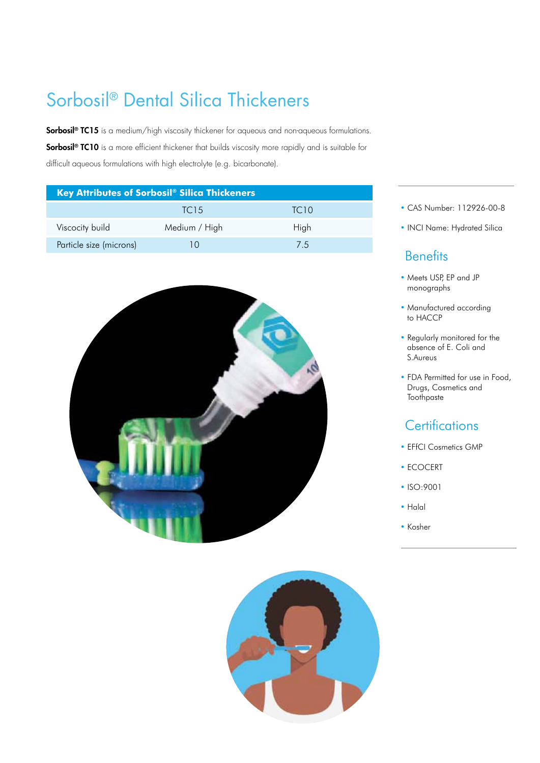# Sorbosil® Dental Silica Thickeners

Sorbosil<sup>®</sup> TC15 is a medium/high viscosity thickener for aqueous and non-aqueous formulations. Sorbosil<sup>®</sup> TC10 is a more efficient thickener that builds viscosity more rapidly and is suitable for difficult aqueous formulations with high electrolyte (e.g. bicarbonate).

| <b>Key Attributes of Sorbosil® Silica Thickeners</b> |                  |                  |  |
|------------------------------------------------------|------------------|------------------|--|
|                                                      | TC <sub>15</sub> | TC <sub>10</sub> |  |
| Viscocity build                                      | Medium / High    | High             |  |
| Particle size (microns)                              |                  | 75               |  |





- CAS Number: 112926-00-8
- INCI Name: Hydrated Silica

### **Benefits**

- Meets USP, EP and JP monographs
- Manufactured according to HACCP
- Regularly monitored for the absence of E. Coli and S.Aureus
- FDA Permitted for use in Food, Drugs, Cosmetics and **Toothpaste**

## **Certifications**

- EFfCI Cosmetics GMP
- ECOCERT
- ISO:9001
- Halal
- Kosher